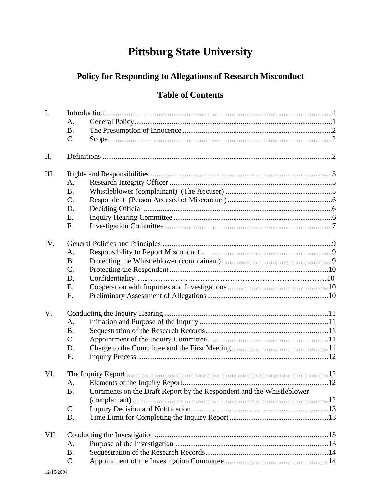# **Pittsburg State University**

# Policy for Responding to Allegations of Research Misconduct

# **Table of Contents**

| $\mathbf{I}$ . |                 |                                                                      |  |  |
|----------------|-----------------|----------------------------------------------------------------------|--|--|
|                | A.              |                                                                      |  |  |
|                | <b>B.</b>       |                                                                      |  |  |
|                | C.              |                                                                      |  |  |
|                |                 |                                                                      |  |  |
| Π.             |                 |                                                                      |  |  |
| III.           |                 |                                                                      |  |  |
|                | A.              |                                                                      |  |  |
|                | <b>B.</b>       |                                                                      |  |  |
|                | C.              |                                                                      |  |  |
|                | D.              |                                                                      |  |  |
|                | E.              |                                                                      |  |  |
|                | F <sub>r</sub>  |                                                                      |  |  |
| IV.            |                 |                                                                      |  |  |
|                | A.              |                                                                      |  |  |
|                | <b>B.</b>       |                                                                      |  |  |
|                | C.              |                                                                      |  |  |
|                | D.              |                                                                      |  |  |
|                | E.              |                                                                      |  |  |
|                | F.              |                                                                      |  |  |
|                |                 |                                                                      |  |  |
| V.             |                 |                                                                      |  |  |
|                | A.              |                                                                      |  |  |
|                | <b>B.</b>       |                                                                      |  |  |
|                | $\mathcal{C}$ . |                                                                      |  |  |
|                | D.              |                                                                      |  |  |
|                | E.              |                                                                      |  |  |
| VI.            |                 |                                                                      |  |  |
|                | A.              |                                                                      |  |  |
|                | <b>B.</b>       | Comments on the Draft Report by the Respondent and the Whistleblower |  |  |
|                |                 |                                                                      |  |  |
|                | C.              |                                                                      |  |  |
|                | D.              |                                                                      |  |  |
| VII.           |                 |                                                                      |  |  |
|                | A.              |                                                                      |  |  |
|                | <b>B.</b>       |                                                                      |  |  |
|                | C.              |                                                                      |  |  |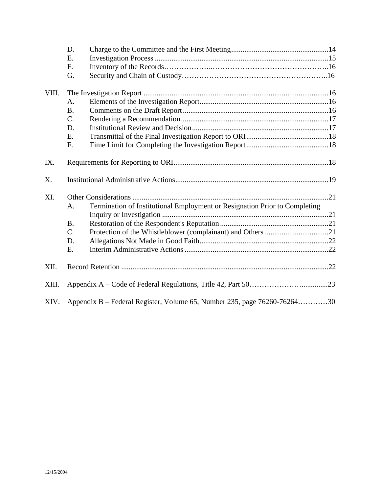|       | D.                                                                       |                                                                            |     |  |
|-------|--------------------------------------------------------------------------|----------------------------------------------------------------------------|-----|--|
|       | Ε.                                                                       |                                                                            |     |  |
|       | F.                                                                       |                                                                            |     |  |
|       | G.                                                                       |                                                                            |     |  |
| VIII. |                                                                          |                                                                            |     |  |
|       | A.                                                                       |                                                                            |     |  |
|       | <b>B.</b>                                                                |                                                                            |     |  |
|       | $\mathcal{C}$ .                                                          |                                                                            |     |  |
|       | D.                                                                       |                                                                            |     |  |
|       | Ε.                                                                       |                                                                            |     |  |
|       | F.                                                                       |                                                                            |     |  |
| IX.   |                                                                          |                                                                            |     |  |
| Χ.    |                                                                          |                                                                            |     |  |
| XI.   |                                                                          |                                                                            | .21 |  |
|       | A.                                                                       | Termination of Institutional Employment or Resignation Prior to Completing |     |  |
|       |                                                                          |                                                                            |     |  |
|       | <b>B.</b>                                                                |                                                                            |     |  |
|       | $\mathcal{C}$ .                                                          |                                                                            |     |  |
|       | D.                                                                       |                                                                            |     |  |
|       | E.                                                                       |                                                                            |     |  |
| XII.  |                                                                          |                                                                            |     |  |
| XIII. |                                                                          |                                                                            |     |  |
| XIV.  | Appendix B – Federal Register, Volume 65, Number 235, page 76260-7626430 |                                                                            |     |  |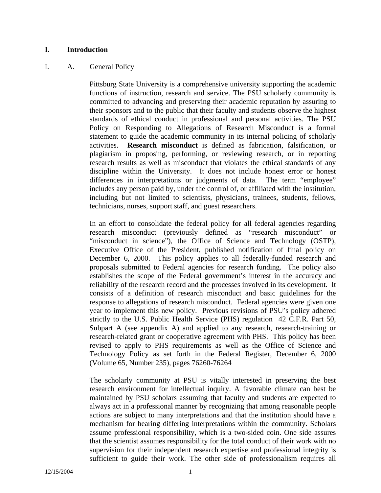# **I. Introduction**

### I. A. General Policy

Pittsburg State University is a comprehensive university supporting the academic functions of instruction, research and service. The PSU scholarly community is committed to advancing and preserving their academic reputation by assuring to their sponsors and to the public that their faculty and students observe the highest standards of ethical conduct in professional and personal activities. The PSU Policy on Responding to Allegations of Research Misconduct is a formal statement to guide the academic community in its internal policing of scholarly activities. **Research misconduct** is defined as fabrication, falsification, or plagiarism in proposing, performing, or reviewing research, or in reporting research results as well as misconduct that violates the ethical standards of any discipline within the University. It does not include honest error or honest differences in interpretations or judgments of data. The term "employee" includes any person paid by, under the control of, or affiliated with the institution, including but not limited to scientists, physicians, trainees, students, fellows, technicians, nurses, support staff, and guest researchers.

In an effort to consolidate the federal policy for all federal agencies regarding research misconduct (previously defined as "research misconduct" or "misconduct in science"), the Office of Science and Technology (OSTP), Executive Office of the President, published notification of final policy on December 6, 2000. This policy applies to all federally-funded research and proposals submitted to Federal agencies for research funding. The policy also establishes the scope of the Federal government's interest in the accuracy and reliability of the research record and the processes involved in its development. It consists of a definition of research misconduct and basic guidelines for the response to allegations of research misconduct. Federal agencies were given one year to implement this new policy. Previous revisions of PSU's policy adhered strictly to the U.S. Public Health Service (PHS) regulation 42 C.F.R. Part 50, Subpart A (see appendix A) and applied to any research, research-training or research-related grant or cooperative agreement with PHS. This policy has been revised to apply to PHS requirements as well as the Office of Science and Technology Policy as set forth in the Federal Register, December 6, 2000 (Volume 65, Number 235), pages 76260-76264

The scholarly community at PSU is vitally interested in preserving the best research environment for intellectual inquiry. A favorable climate can best be maintained by PSU scholars assuming that faculty and students are expected to always act in a professional manner by recognizing that among reasonable people actions are subject to many interpretations and that the institution should have a mechanism for hearing differing interpretations within the community. Scholars assume professional responsibility, which is a two-sided coin. One side assures that the scientist assumes responsibility for the total conduct of their work with no supervision for their independent research expertise and professional integrity is sufficient to guide their work. The other side of professionalism requires all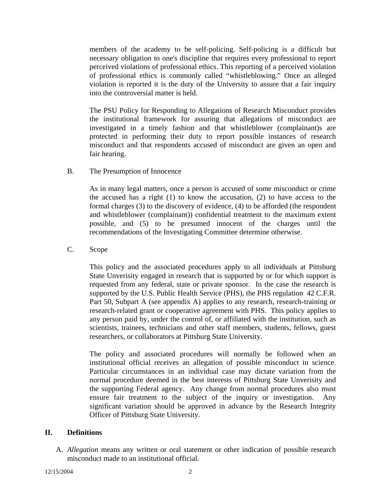members of the academy to be self-policing. Self-policing is a difficult but necessary obligation to one's discipline that requires every professional to report perceived violations of professional ethics. This reporting of a perceived violation of professional ethics is commonly called "whistleblowing." Once an alleged violation is reported it is the duty of the University to assure that a fair inquiry into the controversial matter is held.

The PSU Policy for Responding to Allegations of Research Misconduct provides the institutional framework for assuring that allegations of misconduct are investigated in a timely fashion and that whistleblower (complainant)s are protected in performing their duty to report possible instances of research misconduct and that respondents accused of misconduct are given an open and fair hearing.

B. The Presumption of Innocence

As in many legal matters, once a person is accused of some misconduct or crime the accused has a right (1) to know the accusation, (2) to have access to the formal charges (3) to the discovery of evidence, (4) to be afforded (the respondent and whistleblower (complainant)) confidential treatment to the maximum extent possible, and (5) to be presumed innocent of the charges until the recommendations of the Investigating Committee determine otherwise.

C. Scope

This policy and the associated procedures apply to all individuals at Pittsburg State Unverisity engaged in research that is supported by or for which support is requested from any federal, state or private sponsor. In the case the research is supported by the U.S. Public Health Service (PHS), the PHS regulation 42 C.F.R. Part 50, Subpart A (see appendix A) applies to any research, research-training or research-related grant or cooperative agreement with PHS. This policy applies to any person paid by, under the control of, or affiliated with the institution, such as scientists, trainees, technicians and other staff members, students, fellows, guest researchers, or collaborators at Pittsburg State University.

The policy and associated procedures will normally be followed when an institutional official receives an allegation of possible misconduct in science. Particular circumstances in an individual case may dictate variation from the normal procedure deemed in the best interests of Pittsburg State Unverisity and the supporting Federal agency. Any change from normal procedures also must ensure fair treatment to the subject of the inquiry or investigation. Any significant variation should be approved in advance by the Research Integrity Officer of Pittsburg State University.

# **II. Definitions**

A. *Allegation* means any written or oral statement or other indication of possible research misconduct made to an institutional official.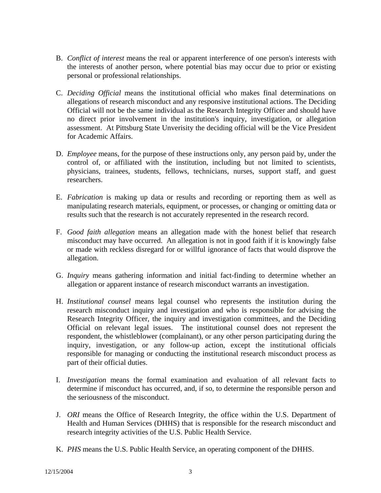- B. *Conflict of interest* means the real or apparent interference of one person's interests with the interests of another person, where potential bias may occur due to prior or existing personal or professional relationships.
- C. *Deciding Official* means the institutional official who makes final determinations on allegations of research misconduct and any responsive institutional actions. The Deciding Official will not be the same individual as the Research Integrity Officer and should have no direct prior involvement in the institution's inquiry, investigation, or allegation assessment. At Pittsburg State Unverisity the deciding official will be the Vice President for Academic Affairs.
- D. *Employee* means, for the purpose of these instructions only, any person paid by, under the control of, or affiliated with the institution, including but not limited to scientists, physicians, trainees, students, fellows, technicians, nurses, support staff, and guest researchers.
- E. *Fabrication* is making up data or results and recording or reporting them as well as manipulating research materials, equipment, or processes, or changing or omitting data or results such that the research is not accurately represented in the research record.
- F. *Good faith allegation* means an allegation made with the honest belief that research misconduct may have occurred. An allegation is not in good faith if it is knowingly false or made with reckless disregard for or willful ignorance of facts that would disprove the allegation.
- G. *Inquiry* means gathering information and initial fact-finding to determine whether an allegation or apparent instance of research misconduct warrants an investigation.
- H. *Institutional counsel* means legal counsel who represents the institution during the research misconduct inquiry and investigation and who is responsible for advising the Research Integrity Officer, the inquiry and investigation committees, and the Deciding Official on relevant legal issues. The institutional counsel does not represent the respondent, the whistleblower (complainant), or any other person participating during the inquiry, investigation, or any follow-up action, except the institutional officials responsible for managing or conducting the institutional research misconduct process as part of their official duties.
- I. *Investigation* means the formal examination and evaluation of all relevant facts to determine if misconduct has occurred, and, if so, to determine the responsible person and the seriousness of the misconduct.
- J. *ORI* means the Office of Research Integrity, the office within the U.S. Department of Health and Human Services (DHHS) that is responsible for the research misconduct and research integrity activities of the U.S. Public Health Service.
- K. *PHS* means the U.S. Public Health Service, an operating component of the DHHS.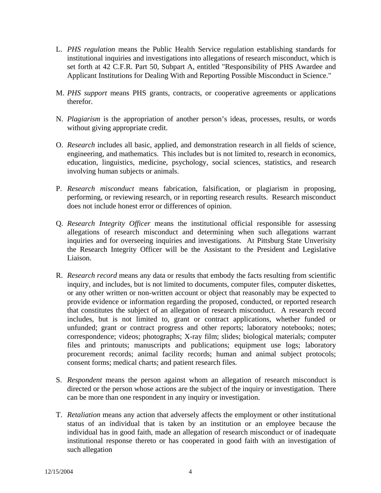- L. *PHS regulation* means the Public Health Service regulation establishing standards for institutional inquiries and investigations into allegations of research misconduct, which is set forth at 42 C.F.R. Part 50, Subpart A, entitled "Responsibility of PHS Awardee and Applicant Institutions for Dealing With and Reporting Possible Misconduct in Science."
- M. *PHS support* means PHS grants, contracts, or cooperative agreements or applications therefor.
- N. *Plagiarism* is the appropriation of another person's ideas, processes, results, or words without giving appropriate credit.
- O. *Research* includes all basic, applied, and demonstration research in all fields of science, engineering, and mathematics. This includes but is not limited to, research in economics, education, linguistics, medicine, psychology, social sciences, statistics, and research involving human subjects or animals.
- P. *Research misconduct* means fabrication, falsification, or plagiarism in proposing, performing, or reviewing research, or in reporting research results. Research misconduct does not include honest error or differences of opinion.
- Q. *Research Integrity Officer* means the institutional official responsible for assessing allegations of research misconduct and determining when such allegations warrant inquiries and for overseeing inquiries and investigations. At Pittsburg State Unverisity the Research Integrity Officer will be the Assistant to the President and Legislative Liaison.
- R. *Research record* means any data or results that embody the facts resulting from scientific inquiry, and includes, but is not limited to documents, computer files, computer diskettes, or any other written or non-written account or object that reasonably may be expected to provide evidence or information regarding the proposed, conducted, or reported research that constitutes the subject of an allegation of research misconduct. A research record includes, but is not limited to, grant or contract applications, whether funded or unfunded; grant or contract progress and other reports; laboratory notebooks; notes; correspondence; videos; photographs; X-ray film; slides; biological materials; computer files and printouts; manuscripts and publications; equipment use logs; laboratory procurement records; animal facility records; human and animal subject protocols; consent forms; medical charts; and patient research files.
- S. *Respondent* means the person against whom an allegation of research misconduct is directed or the person whose actions are the subject of the inquiry or investigation. There can be more than one respondent in any inquiry or investigation.
- T. *Retaliation* means any action that adversely affects the employment or other institutional status of an individual that is taken by an institution or an employee because the individual has in good faith, made an allegation of research misconduct or of inadequate institutional response thereto or has cooperated in good faith with an investigation of such allegation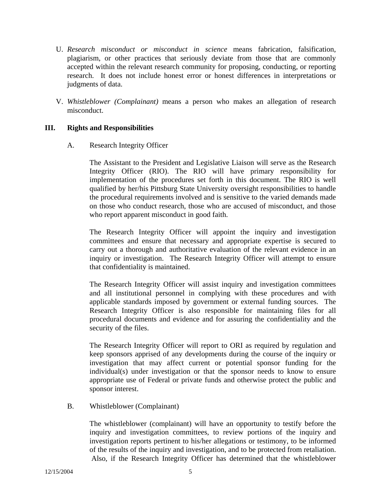- U. *Research misconduct or misconduct in science* means fabrication, falsification, plagiarism, or other practices that seriously deviate from those that are commonly accepted within the relevant research community for proposing, conducting, or reporting research. It does not include honest error or honest differences in interpretations or judgments of data.
- V. *Whistleblower (Complainant)* means a person who makes an allegation of research misconduct.

# **III. Rights and Responsibilities**

# A. Research Integrity Officer

The Assistant to the President and Legislative Liaison will serve as the Research Integrity Officer (RIO). The RIO will have primary responsibility for implementation of the procedures set forth in this document. The RIO is well qualified by her/his Pittsburg State University oversight responsibilities to handle the procedural requirements involved and is sensitive to the varied demands made on those who conduct research, those who are accused of misconduct, and those who report apparent misconduct in good faith.

The Research Integrity Officer will appoint the inquiry and investigation committees and ensure that necessary and appropriate expertise is secured to carry out a thorough and authoritative evaluation of the relevant evidence in an inquiry or investigation. The Research Integrity Officer will attempt to ensure that confidentiality is maintained.

The Research Integrity Officer will assist inquiry and investigation committees and all institutional personnel in complying with these procedures and with applicable standards imposed by government or external funding sources. The Research Integrity Officer is also responsible for maintaining files for all procedural documents and evidence and for assuring the confidentiality and the security of the files.

The Research Integrity Officer will report to ORI as required by regulation and keep sponsors apprised of any developments during the course of the inquiry or investigation that may affect current or potential sponsor funding for the individual(s) under investigation or that the sponsor needs to know to ensure appropriate use of Federal or private funds and otherwise protect the public and sponsor interest.

B. Whistleblower (Complainant)

The whistleblower (complainant) will have an opportunity to testify before the inquiry and investigation committees, to review portions of the inquiry and investigation reports pertinent to his/her allegations or testimony, to be informed of the results of the inquiry and investigation, and to be protected from retaliation. Also, if the Research Integrity Officer has determined that the whistleblower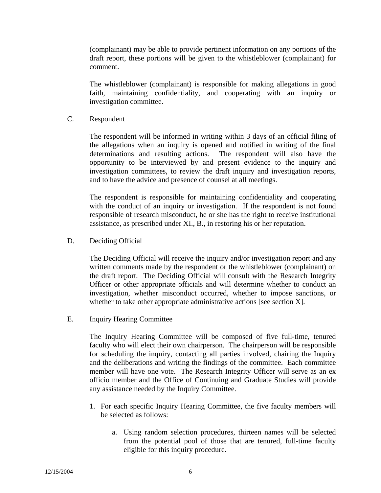(complainant) may be able to provide pertinent information on any portions of the draft report, these portions will be given to the whistleblower (complainant) for comment.

The whistleblower (complainant) is responsible for making allegations in good faith, maintaining confidentiality, and cooperating with an inquiry or investigation committee.

C. Respondent

The respondent will be informed in writing within 3 days of an official filing of the allegations when an inquiry is opened and notified in writing of the final determinations and resulting actions. The respondent will also have the opportunity to be interviewed by and present evidence to the inquiry and investigation committees, to review the draft inquiry and investigation reports, and to have the advice and presence of counsel at all meetings.

The respondent is responsible for maintaining confidentiality and cooperating with the conduct of an inquiry or investigation. If the respondent is not found responsible of research misconduct, he or she has the right to receive institutional assistance, as prescribed under XI., B., in restoring his or her reputation.

D. Deciding Official

The Deciding Official will receive the inquiry and/or investigation report and any written comments made by the respondent or the whistleblower (complainant) on the draft report. The Deciding Official will consult with the Research Integrity Officer or other appropriate officials and will determine whether to conduct an investigation, whether misconduct occurred, whether to impose sanctions, or whether to take other appropriate administrative actions [see section X].

E. Inquiry Hearing Committee

The Inquiry Hearing Committee will be composed of five full-time, tenured faculty who will elect their own chairperson. The chairperson will be responsible for scheduling the inquiry, contacting all parties involved, chairing the Inquiry and the deliberations and writing the findings of the committee. Each committee member will have one vote. The Research Integrity Officer will serve as an ex officio member and the Office of Continuing and Graduate Studies will provide any assistance needed by the Inquiry Committee.

- 1. For each specific Inquiry Hearing Committee, the five faculty members will be selected as follows:
	- a. Using random selection procedures, thirteen names will be selected from the potential pool of those that are tenured, full-time faculty eligible for this inquiry procedure.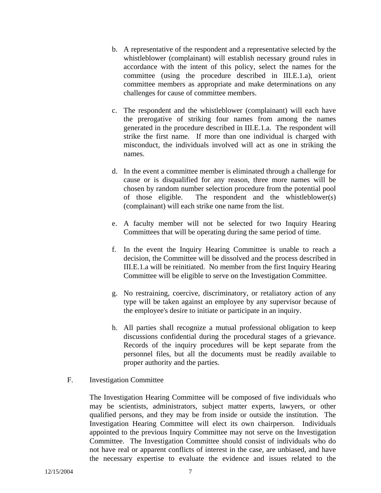- b. A representative of the respondent and a representative selected by the whistleblower (complainant) will establish necessary ground rules in accordance with the intent of this policy, select the names for the committee (using the procedure described in III.E.1.a), orient committee members as appropriate and make determinations on any challenges for cause of committee members.
- c. The respondent and the whistleblower (complainant) will each have the prerogative of striking four names from among the names generated in the procedure described in III.E.1.a. The respondent will strike the first name. If more than one individual is charged with misconduct, the individuals involved will act as one in striking the names.
- d. In the event a committee member is eliminated through a challenge for cause or is disqualified for any reason, three more names will be chosen by random number selection procedure from the potential pool of those eligible. The respondent and the whistleblower(s) (complainant) will each strike one name from the list.
- e. A faculty member will not be selected for two Inquiry Hearing Committees that will be operating during the same period of time.
- f. In the event the Inquiry Hearing Committee is unable to reach a decision, the Committee will be dissolved and the process described in III.E.1.a will be reinitiated. No member from the first Inquiry Hearing Committee will be eligible to serve on the Investigation Committee.
- g. No restraining, coercive, discriminatory, or retaliatory action of any type will be taken against an employee by any supervisor because of the employee's desire to initiate or participate in an inquiry.
- h. All parties shall recognize a mutual professional obligation to keep discussions confidential during the procedural stages of a grievance. Records of the inquiry procedures will be kept separate from the personnel files, but all the documents must be readily available to proper authority and the parties.
- F. Investigation Committee

The Investigation Hearing Committee will be composed of five individuals who may be scientists, administrators, subject matter experts, lawyers, or other qualified persons, and they may be from inside or outside the institution. The Investigation Hearing Committee will elect its own chairperson. Individuals appointed to the previous Inquiry Committee may not serve on the Investigation Committee. The Investigation Committee should consist of individuals who do not have real or apparent conflicts of interest in the case, are unbiased, and have the necessary expertise to evaluate the evidence and issues related to the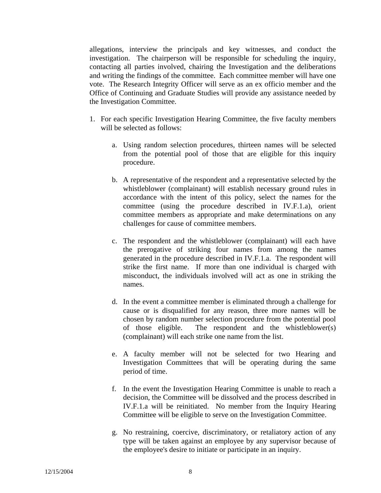allegations, interview the principals and key witnesses, and conduct the investigation. The chairperson will be responsible for scheduling the inquiry, contacting all parties involved, chairing the Investigation and the deliberations and writing the findings of the committee. Each committee member will have one vote. The Research Integrity Officer will serve as an ex officio member and the Office of Continuing and Graduate Studies will provide any assistance needed by the Investigation Committee.

- 1. For each specific Investigation Hearing Committee, the five faculty members will be selected as follows:
	- a. Using random selection procedures, thirteen names will be selected from the potential pool of those that are eligible for this inquiry procedure.
	- b. A representative of the respondent and a representative selected by the whistleblower (complainant) will establish necessary ground rules in accordance with the intent of this policy, select the names for the committee (using the procedure described in IV.F.1.a), orient committee members as appropriate and make determinations on any challenges for cause of committee members.
	- c. The respondent and the whistleblower (complainant) will each have the prerogative of striking four names from among the names generated in the procedure described in IV.F.1.a. The respondent will strike the first name. If more than one individual is charged with misconduct, the individuals involved will act as one in striking the names.
	- d. In the event a committee member is eliminated through a challenge for cause or is disqualified for any reason, three more names will be chosen by random number selection procedure from the potential pool of those eligible. The respondent and the whistleblower(s) (complainant) will each strike one name from the list.
	- e. A faculty member will not be selected for two Hearing and Investigation Committees that will be operating during the same period of time.
	- f. In the event the Investigation Hearing Committee is unable to reach a decision, the Committee will be dissolved and the process described in IV.F.1.a will be reinitiated. No member from the Inquiry Hearing Committee will be eligible to serve on the Investigation Committee.
	- g. No restraining, coercive, discriminatory, or retaliatory action of any type will be taken against an employee by any supervisor because of the employee's desire to initiate or participate in an inquiry.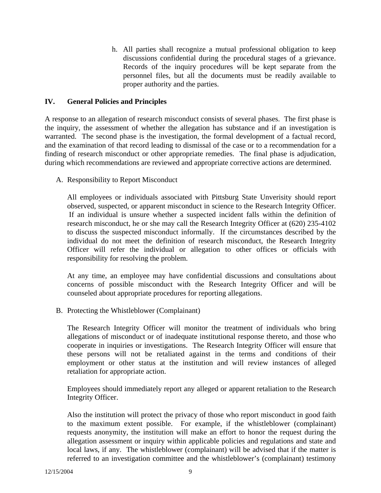h. All parties shall recognize a mutual professional obligation to keep discussions confidential during the procedural stages of a grievance. Records of the inquiry procedures will be kept separate from the personnel files, but all the documents must be readily available to proper authority and the parties.

# **IV. General Policies and Principles**

A response to an allegation of research misconduct consists of several phases. The first phase is the inquiry, the assessment of whether the allegation has substance and if an investigation is warranted. The second phase is the investigation, the formal development of a factual record, and the examination of that record leading to dismissal of the case or to a recommendation for a finding of research misconduct or other appropriate remedies. The final phase is adjudication, during which recommendations are reviewed and appropriate corrective actions are determined.

A. Responsibility to Report Misconduct

All employees or individuals associated with Pittsburg State Unverisity should report observed, suspected, or apparent misconduct in science to the Research Integrity Officer. If an individual is unsure whether a suspected incident falls within the definition of research misconduct, he or she may call the Research Integrity Officer at (620) 235-4102 to discuss the suspected misconduct informally. If the circumstances described by the individual do not meet the definition of research misconduct, the Research Integrity Officer will refer the individual or allegation to other offices or officials with responsibility for resolving the problem.

At any time, an employee may have confidential discussions and consultations about concerns of possible misconduct with the Research Integrity Officer and will be counseled about appropriate procedures for reporting allegations.

B. Protecting the Whistleblower (Complainant)

The Research Integrity Officer will monitor the treatment of individuals who bring allegations of misconduct or of inadequate institutional response thereto, and those who cooperate in inquiries or investigations. The Research Integrity Officer will ensure that these persons will not be retaliated against in the terms and conditions of their employment or other status at the institution and will review instances of alleged retaliation for appropriate action.

Employees should immediately report any alleged or apparent retaliation to the Research Integrity Officer.

Also the institution will protect the privacy of those who report misconduct in good faith to the maximum extent possible. For example, if the whistleblower (complainant) requests anonymity, the institution will make an effort to honor the request during the allegation assessment or inquiry within applicable policies and regulations and state and local laws, if any. The whistleblower (complainant) will be advised that if the matter is referred to an investigation committee and the whistleblower's (complainant) testimony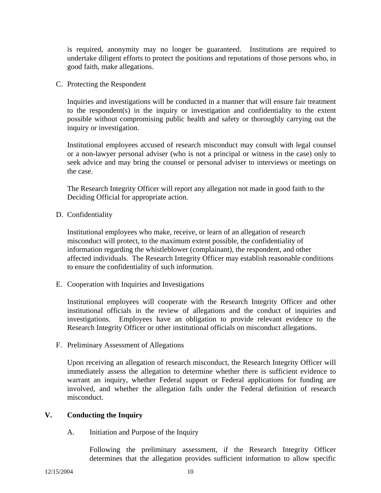is required, anonymity may no longer be guaranteed. Institutions are required to undertake diligent efforts to protect the positions and reputations of those persons who, in good faith, make allegations.

C. Protecting the Respondent

Inquiries and investigations will be conducted in a manner that will ensure fair treatment to the respondent(s) in the inquiry or investigation and confidentiality to the extent possible without compromising public health and safety or thoroughly carrying out the inquiry or investigation.

Institutional employees accused of research misconduct may consult with legal counsel or a non-lawyer personal adviser (who is not a principal or witness in the case) only to seek advice and may bring the counsel or personal adviser to interviews or meetings on the case.

The Research Integrity Officer will report any allegation not made in good faith to the Deciding Official for appropriate action.

D. Confidentiality

Institutional employees who make, receive, or learn of an allegation of research misconduct will protect, to the maximum extent possible, the confidentiality of information regarding the whistleblower (complainant), the respondent, and other affected individuals. The Research Integrity Officer may establish reasonable conditions to ensure the confidentiality of such information.

E. Cooperation with Inquiries and Investigations

Institutional employees will cooperate with the Research Integrity Officer and other institutional officials in the review of allegations and the conduct of inquiries and investigations. Employees have an obligation to provide relevant evidence to the Research Integrity Officer or other institutional officials on misconduct allegations.

F. Preliminary Assessment of Allegations

Upon receiving an allegation of research misconduct, the Research Integrity Officer will immediately assess the allegation to determine whether there is sufficient evidence to warrant an inquiry, whether Federal support or Federal applications for funding are involved, and whether the allegation falls under the Federal definition of research misconduct.

# **V. Conducting the Inquiry**

A. Initiation and Purpose of the Inquiry

Following the preliminary assessment, if the Research Integrity Officer determines that the allegation provides sufficient information to allow specific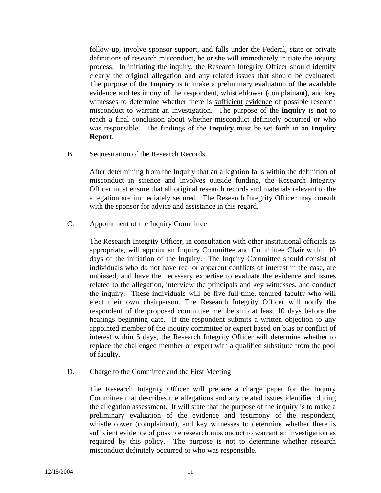follow-up, involve sponsor support, and falls under the Federal, state or private definitions of research misconduct, he or she will immediately initiate the inquiry process. In initiating the inquiry, the Research Integrity Officer should identify clearly the original allegation and any related issues that should be evaluated. The purpose of the **Inquiry** is to make a preliminary evaluation of the available evidence and testimony of the respondent, whistleblower (complainant), and key witnesses to determine whether there is sufficient evidence of possible research misconduct to warrant an investigation. The purpose of the **inquiry** is **not** to reach a final conclusion about whether misconduct definitely occurred or who was responsible. The findings of the **Inquiry** must be set forth in an **Inquiry Report**.

B. Sequestration of the Research Records

After determining from the Inquiry that an allegation falls within the definition of misconduct in science and involves outside funding, the Research Integrity Officer must ensure that all original research records and materials relevant to the allegation are immediately secured. The Research Integrity Officer may consult with the sponsor for advice and assistance in this regard.

C. Appointment of the Inquiry Committee

The Research Integrity Officer, in consultation with other institutional officials as appropriate, will appoint an Inquiry Committee and Committee Chair within 10 days of the initiation of the Inquiry. The Inquiry Committee should consist of individuals who do not have real or apparent conflicts of interest in the case, are unbiased, and have the necessary expertise to evaluate the evidence and issues related to the allegation, interview the principals and key witnesses, and conduct the inquiry. These individuals will be five full-time, tenured faculty who will elect their own chairperson. The Research Integrity Officer will notify the respondent of the proposed committee membership at least 10 days before the hearings beginning date. If the respondent submits a written objection to any appointed member of the inquiry committee or expert based on bias or conflict of interest within 5 days, the Research Integrity Officer will determine whether to replace the challenged member or expert with a qualified substitute from the pool of faculty.

D. Charge to the Committee and the First Meeting

The Research Integrity Officer will prepare a charge paper for the Inquiry Committee that describes the allegations and any related issues identified during the allegation assessment. It will state that the purpose of the inquiry is to make a preliminary evaluation of the evidence and testimony of the respondent, whistleblower (complainant), and key witnesses to determine whether there is sufficient evidence of possible research misconduct to warrant an investigation as required by this policy. The purpose is not to determine whether research misconduct definitely occurred or who was responsible.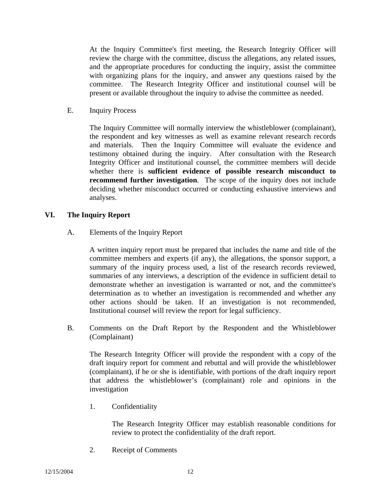At the Inquiry Committee's first meeting, the Research Integrity Officer will review the charge with the committee, discuss the allegations, any related issues, and the appropriate procedures for conducting the inquiry, assist the committee with organizing plans for the inquiry, and answer any questions raised by the committee. The Research Integrity Officer and institutional counsel will be present or available throughout the inquiry to advise the committee as needed.

E. Inquiry Process

The Inquiry Committee will normally interview the whistleblower (complainant), the respondent and key witnesses as well as examine relevant research records and materials. Then the Inquiry Committee will evaluate the evidence and testimony obtained during the inquiry. After consultation with the Research Integrity Officer and institutional counsel, the committee members will decide whether there is **sufficient evidence of possible research misconduct to recommend further investigation**. The scope of the inquiry does not include deciding whether misconduct occurred or conducting exhaustive interviews and analyses.

# **VI. The Inquiry Report**

A. Elements of the Inquiry Report

A written inquiry report must be prepared that includes the name and title of the committee members and experts (if any), the allegations, the sponsor support, a summary of the inquiry process used, a list of the research records reviewed, summaries of any interviews, a description of the evidence in sufficient detail to demonstrate whether an investigation is warranted or not, and the committee's determination as to whether an investigation is recommended and whether any other actions should be taken. If an investigation is not recommended, Institutional counsel will review the report for legal sufficiency.

B. Comments on the Draft Report by the Respondent and the Whistleblower (Complainant)

The Research Integrity Officer will provide the respondent with a copy of the draft inquiry report for comment and rebuttal and will provide the whistleblower (complainant), if he or she is identifiable, with portions of the draft inquiry report that address the whistleblower's (complainant) role and opinions in the investigation

1. Confidentiality

The Research Integrity Officer may establish reasonable conditions for review to protect the confidentiality of the draft report.

2. Receipt of Comments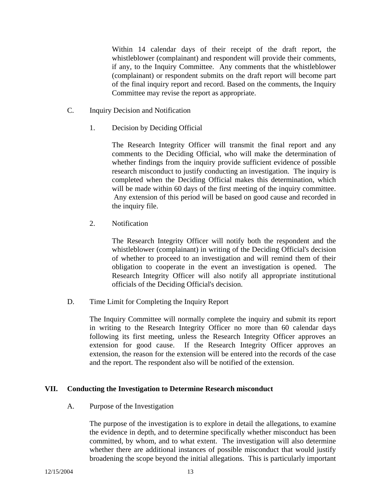Within 14 calendar days of their receipt of the draft report, the whistleblower (complainant) and respondent will provide their comments, if any, to the Inquiry Committee. Any comments that the whistleblower (complainant) or respondent submits on the draft report will become part of the final inquiry report and record. Based on the comments, the Inquiry Committee may revise the report as appropriate.

- C. Inquiry Decision and Notification
	- 1. Decision by Deciding Official

The Research Integrity Officer will transmit the final report and any comments to the Deciding Official, who will make the determination of whether findings from the inquiry provide sufficient evidence of possible research misconduct to justify conducting an investigation. The inquiry is completed when the Deciding Official makes this determination, which will be made within 60 days of the first meeting of the inquiry committee. Any extension of this period will be based on good cause and recorded in the inquiry file.

2. Notification

The Research Integrity Officer will notify both the respondent and the whistleblower (complainant) in writing of the Deciding Official's decision of whether to proceed to an investigation and will remind them of their obligation to cooperate in the event an investigation is opened. The Research Integrity Officer will also notify all appropriate institutional officials of the Deciding Official's decision.

D. Time Limit for Completing the Inquiry Report

The Inquiry Committee will normally complete the inquiry and submit its report in writing to the Research Integrity Officer no more than 60 calendar days following its first meeting, unless the Research Integrity Officer approves an extension for good cause. If the Research Integrity Officer approves an extension, the reason for the extension will be entered into the records of the case and the report. The respondent also will be notified of the extension.

# **VII. Conducting the Investigation to Determine Research misconduct**

A. Purpose of the Investigation

The purpose of the investigation is to explore in detail the allegations, to examine the evidence in depth, and to determine specifically whether misconduct has been committed, by whom, and to what extent. The investigation will also determine whether there are additional instances of possible misconduct that would justify broadening the scope beyond the initial allegations. This is particularly important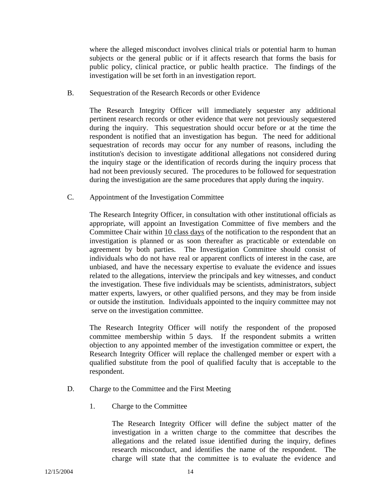where the alleged misconduct involves clinical trials or potential harm to human subjects or the general public or if it affects research that forms the basis for public policy, clinical practice, or public health practice. The findings of the investigation will be set forth in an investigation report.

B. Sequestration of the Research Records or other Evidence

The Research Integrity Officer will immediately sequester any additional pertinent research records or other evidence that were not previously sequestered during the inquiry. This sequestration should occur before or at the time the respondent is notified that an investigation has begun. The need for additional sequestration of records may occur for any number of reasons, including the institution's decision to investigate additional allegations not considered during the inquiry stage or the identification of records during the inquiry process that had not been previously secured. The procedures to be followed for sequestration during the investigation are the same procedures that apply during the inquiry.

C. Appointment of the Investigation Committee

The Research Integrity Officer, in consultation with other institutional officials as appropriate, will appoint an Investigation Committee of five members and the Committee Chair within 10 class days of the notification to the respondent that an investigation is planned or as soon thereafter as practicable or extendable on agreement by both parties. The Investigation Committee should consist of individuals who do not have real or apparent conflicts of interest in the case, are unbiased, and have the necessary expertise to evaluate the evidence and issues related to the allegations, interview the principals and key witnesses, and conduct the investigation. These five individuals may be scientists, administrators, subject matter experts, lawyers, or other qualified persons, and they may be from inside or outside the institution. Individuals appointed to the inquiry committee may not serve on the investigation committee.

The Research Integrity Officer will notify the respondent of the proposed committee membership within 5 days. If the respondent submits a written objection to any appointed member of the investigation committee or expert, the Research Integrity Officer will replace the challenged member or expert with a qualified substitute from the pool of qualified faculty that is acceptable to the respondent.

- D. Charge to the Committee and the First Meeting
	- 1. Charge to the Committee

The Research Integrity Officer will define the subject matter of the investigation in a written charge to the committee that describes the allegations and the related issue identified during the inquiry, defines research misconduct, and identifies the name of the respondent. The charge will state that the committee is to evaluate the evidence and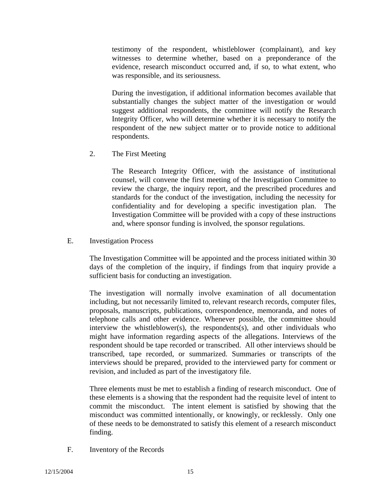testimony of the respondent, whistleblower (complainant), and key witnesses to determine whether, based on a preponderance of the evidence, research misconduct occurred and, if so, to what extent, who was responsible, and its seriousness.

During the investigation, if additional information becomes available that substantially changes the subject matter of the investigation or would suggest additional respondents, the committee will notify the Research Integrity Officer, who will determine whether it is necessary to notify the respondent of the new subject matter or to provide notice to additional respondents.

2. The First Meeting

The Research Integrity Officer, with the assistance of institutional counsel, will convene the first meeting of the Investigation Committee to review the charge, the inquiry report, and the prescribed procedures and standards for the conduct of the investigation, including the necessity for confidentiality and for developing a specific investigation plan. The Investigation Committee will be provided with a copy of these instructions and, where sponsor funding is involved, the sponsor regulations.

E. Investigation Process

The Investigation Committee will be appointed and the process initiated within 30 days of the completion of the inquiry, if findings from that inquiry provide a sufficient basis for conducting an investigation.

The investigation will normally involve examination of all documentation including, but not necessarily limited to, relevant research records, computer files, proposals, manuscripts, publications, correspondence, memoranda, and notes of telephone calls and other evidence. Whenever possible, the committee should interview the whistleblower(s), the respondents(s), and other individuals who might have information regarding aspects of the allegations. Interviews of the respondent should be tape recorded or transcribed. All other interviews should be transcribed, tape recorded, or summarized. Summaries or transcripts of the interviews should be prepared, provided to the interviewed party for comment or revision, and included as part of the investigatory file.

Three elements must be met to establish a finding of research misconduct. One of these elements is a showing that the respondent had the requisite level of intent to commit the misconduct. The intent element is satisfied by showing that the misconduct was committed intentionally, or knowingly, or recklessly. Only one of these needs to be demonstrated to satisfy this element of a research misconduct finding.

F. Inventory of the Records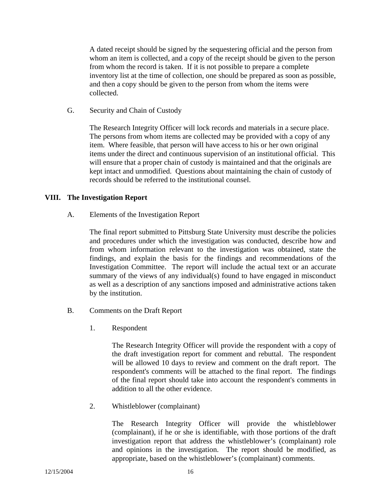A dated receipt should be signed by the sequestering official and the person from whom an item is collected, and a copy of the receipt should be given to the person from whom the record is taken. If it is not possible to prepare a complete inventory list at the time of collection, one should be prepared as soon as possible, and then a copy should be given to the person from whom the items were collected.

G. Security and Chain of Custody

The Research Integrity Officer will lock records and materials in a secure place. The persons from whom items are collected may be provided with a copy of any item. Where feasible, that person will have access to his or her own original items under the direct and continuous supervision of an institutional official. This will ensure that a proper chain of custody is maintained and that the originals are kept intact and unmodified. Questions about maintaining the chain of custody of records should be referred to the institutional counsel.

# **VIII. The Investigation Report**

A. Elements of the Investigation Report

The final report submitted to Pittsburg State University must describe the policies and procedures under which the investigation was conducted, describe how and from whom information relevant to the investigation was obtained, state the findings, and explain the basis for the findings and recommendations of the Investigation Committee. The report will include the actual text or an accurate summary of the views of any individual(s) found to have engaged in misconduct as well as a description of any sanctions imposed and administrative actions taken by the institution.

- B. Comments on the Draft Report
	- 1. Respondent

The Research Integrity Officer will provide the respondent with a copy of the draft investigation report for comment and rebuttal. The respondent will be allowed 10 days to review and comment on the draft report. The respondent's comments will be attached to the final report. The findings of the final report should take into account the respondent's comments in addition to all the other evidence.

2. Whistleblower (complainant)

The Research Integrity Officer will provide the whistleblower (complainant), if he or she is identifiable, with those portions of the draft investigation report that address the whistleblower's (complainant) role and opinions in the investigation. The report should be modified, as appropriate, based on the whistleblower's (complainant) comments.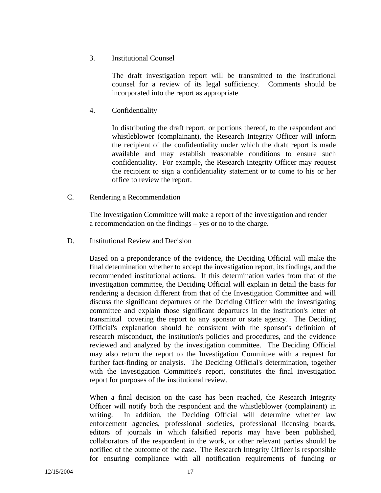3. Institutional Counsel

The draft investigation report will be transmitted to the institutional counsel for a review of its legal sufficiency. Comments should be incorporated into the report as appropriate.

4. Confidentiality

In distributing the draft report, or portions thereof, to the respondent and whistleblower (complainant), the Research Integrity Officer will inform the recipient of the confidentiality under which the draft report is made available and may establish reasonable conditions to ensure such confidentiality. For example, the Research Integrity Officer may request the recipient to sign a confidentiality statement or to come to his or her office to review the report.

C. Rendering a Recommendation

The Investigation Committee will make a report of the investigation and render a recommendation on the findings – yes or no to the charge.

D. Institutional Review and Decision

Based on a preponderance of the evidence, the Deciding Official will make the final determination whether to accept the investigation report, its findings, and the recommended institutional actions. If this determination varies from that of the investigation committee, the Deciding Official will explain in detail the basis for rendering a decision different from that of the Investigation Committee and will discuss the significant departures of the Deciding Officer with the investigating committee and explain those significant departures in the institution's letter of transmittal covering the report to any sponsor or state agency. The Deciding Official's explanation should be consistent with the sponsor's definition of research misconduct, the institution's policies and procedures, and the evidence reviewed and analyzed by the investigation committee. The Deciding Official may also return the report to the Investigation Committee with a request for further fact-finding or analysis. The Deciding Official's determination, together with the Investigation Committee's report, constitutes the final investigation report for purposes of the institutional review.

When a final decision on the case has been reached, the Research Integrity Officer will notify both the respondent and the whistleblower (complainant) in writing. In addition, the Deciding Official will determine whether law enforcement agencies, professional societies, professional licensing boards, editors of journals in which falsified reports may have been published, collaborators of the respondent in the work, or other relevant parties should be notified of the outcome of the case. The Research Integrity Officer is responsible for ensuring compliance with all notification requirements of funding or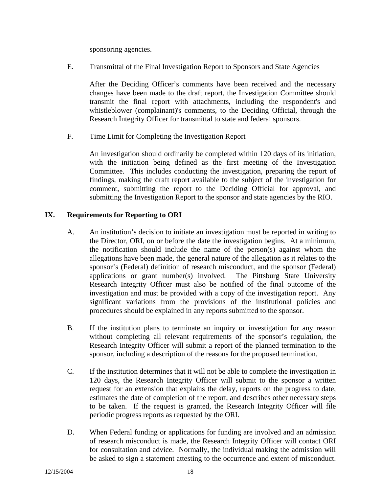sponsoring agencies.

E. Transmittal of the Final Investigation Report to Sponsors and State Agencies

After the Deciding Officer's comments have been received and the necessary changes have been made to the draft report, the Investigation Committee should transmit the final report with attachments, including the respondent's and whistleblower (complainant)'s comments, to the Deciding Official, through the Research Integrity Officer for transmittal to state and federal sponsors.

F. Time Limit for Completing the Investigation Report

An investigation should ordinarily be completed within 120 days of its initiation, with the initiation being defined as the first meeting of the Investigation Committee. This includes conducting the investigation, preparing the report of findings, making the draft report available to the subject of the investigation for comment, submitting the report to the Deciding Official for approval, and submitting the Investigation Report to the sponsor and state agencies by the RIO.

# **IX. Requirements for Reporting to ORI**

- A. An institution's decision to initiate an investigation must be reported in writing to the Director, ORI, on or before the date the investigation begins. At a minimum, the notification should include the name of the person(s) against whom the allegations have been made, the general nature of the allegation as it relates to the sponsor's (Federal) definition of research misconduct, and the sponsor (Federal) applications or grant number(s) involved. The Pittsburg State University Research Integrity Officer must also be notified of the final outcome of the investigation and must be provided with a copy of the investigation report. Any significant variations from the provisions of the institutional policies and procedures should be explained in any reports submitted to the sponsor.
- B. If the institution plans to terminate an inquiry or investigation for any reason without completing all relevant requirements of the sponsor's regulation, the Research Integrity Officer will submit a report of the planned termination to the sponsor, including a description of the reasons for the proposed termination.
- C. If the institution determines that it will not be able to complete the investigation in 120 days, the Research Integrity Officer will submit to the sponsor a written request for an extension that explains the delay, reports on the progress to date, estimates the date of completion of the report, and describes other necessary steps to be taken. If the request is granted, the Research Integrity Officer will file periodic progress reports as requested by the ORI.
- D. When Federal funding or applications for funding are involved and an admission of research misconduct is made, the Research Integrity Officer will contact ORI for consultation and advice. Normally, the individual making the admission will be asked to sign a statement attesting to the occurrence and extent of misconduct.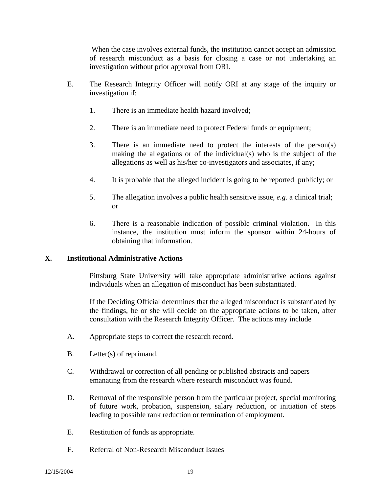When the case involves external funds, the institution cannot accept an admission of research misconduct as a basis for closing a case or not undertaking an investigation without prior approval from ORI.

- E. The Research Integrity Officer will notify ORI at any stage of the inquiry or investigation if:
	- 1. There is an immediate health hazard involved;
	- 2. There is an immediate need to protect Federal funds or equipment;
	- 3. There is an immediate need to protect the interests of the person(s) making the allegations or of the individual(s) who is the subject of the allegations as well as his/her co-investigators and associates, if any;
	- 4. It is probable that the alleged incident is going to be reported publicly; or
	- 5. The allegation involves a public health sensitive issue, *e.g.* a clinical trial; or
	- 6. There is a reasonable indication of possible criminal violation. In this instance, the institution must inform the sponsor within 24-hours of obtaining that information.

# **X. Institutional Administrative Actions**

Pittsburg State University will take appropriate administrative actions against individuals when an allegation of misconduct has been substantiated.

If the Deciding Official determines that the alleged misconduct is substantiated by the findings, he or she will decide on the appropriate actions to be taken, after consultation with the Research Integrity Officer. The actions may include

- A. Appropriate steps to correct the research record.
- B. Letter(s) of reprimand.
- C. Withdrawal or correction of all pending or published abstracts and papers emanating from the research where research misconduct was found.
- D. Removal of the responsible person from the particular project, special monitoring of future work, probation, suspension, salary reduction, or initiation of steps leading to possible rank reduction or termination of employment.
- E. Restitution of funds as appropriate.
- F. Referral of Non-Research Misconduct Issues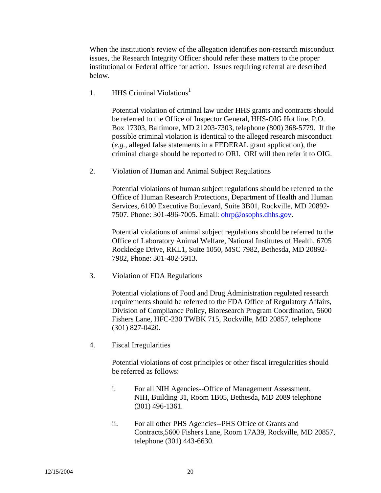When the institution's review of the allegation identifies non-research misconduct issues, the Research Integrity Officer should refer these matters to the proper institutional or Federal office for action. Issues requiring referral are described below.

1. HHS Criminal Violations<sup>1</sup>

Potential violation of criminal law under HHS grants and contracts should be referred to the Office of Inspector General, HHS-OIG Hot line, P.O. Box 17303, Baltimore, MD 21203-7303, telephone (800) 368-5779. If the possible criminal violation is identical to the alleged research misconduct (*e.g.*, alleged false statements in a FEDERAL grant application), the criminal charge should be reported to ORI. ORI will then refer it to OIG.

2. Violation of Human and Animal Subject Regulations

Potential violations of human subject regulations should be referred to the Office of Human Research Protections, Department of Health and Human Services, 6100 Executive [B](#page-42-0)oulevard, Suite 3B01, Rockville, MD 20892- 7507. Phone: 301-496-7005. Email: [ohrp@osophs.dhhs.gov](mailto:ohrp@osophs.dhhs.gov).

Potential violations of animal subject regulations should be referred to the Office of Laboratory Animal Welfare, National Institutes of Health, 6705 Rockledge Drive, RKL1, Suite 1050, MSC 7982, Bethesda, MD 20892- 7982, Phone: 301-402-5913.

3. Violation of FDA Regulations

Potential violations of Food and Drug Administration regulated research requirements should be referred to the FDA Office of Regulatory Affairs, Division of Compliance Policy, Bioresearch Program Coordination, 5600 Fishers Lane, HFC-230 TWBK 715, Rockville, MD 20857, telephone (301) 827-0420.

4. Fiscal Irregularities

Potential violations of cost principles or other fiscal irregularities should be referred as follows:

- i. For all NIH Agencies--Office of Management Assessment, NIH, Building 31, Room 1B05, Bethesda, MD 2089 telephone (301) 496-1361.
- ii. For all other PHS Agencies--PHS Office of Grants and Contracts,5600 Fishers Lane, Room 17A39, Rockville, MD 20857, telephone (301) 443-6630.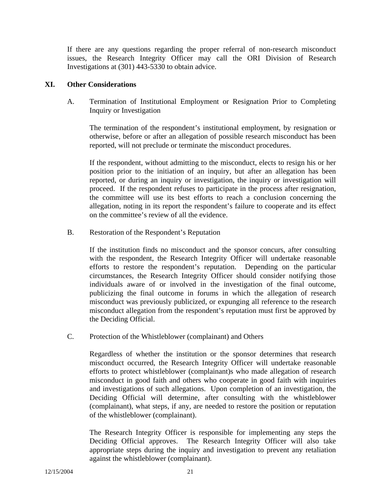If there are any questions regarding the proper referral of non-research misconduct issues, the Research Integrity Officer may call the ORI Division of Research Investigations at (301) 443-5330 to obtain advice.

# **XI. Other Considerations**

A. Termination of Institutional Employment or Resignation Prior to Completing Inquiry or Investigation

The termination of the respondent's institutional employment, by resignation or otherwise, before or after an allegation of possible research misconduct has been reported, will not preclude or terminate the misconduct procedures.

If the respondent, without admitting to the misconduct, elects to resign his or her position prior to the initiation of an inquiry, but after an allegation has been reported, or during an inquiry or investigation, the inquiry or investigation will proceed. If the respondent refuses to participate in the process after resignation, the committee will use its best efforts to reach a conclusion concerning the allegation, noting in its report the respondent's failure to cooperate and its effect on the committee's review of all the evidence.

B. Restoration of the Respondent's Reputation

If the institution finds no misconduct and the sponsor concurs, after consulting with the respondent, the Research Integrity Officer will undertake reasonable efforts to restore the respondent's reputation. Depending on the particular circumstances, the Research Integrity Officer should consider notifying those individuals aware of or involved in the investigation of the final outcome, publicizing the final outcome in forums in which the allegation of research misconduct was previously publicized, or expunging all reference to the research misconduct allegation from the respondent's reputation must first be approved by the Deciding Official.

C. Protection of the Whistleblower (complainant) and Others

Regardless of whether the institution or the sponsor determines that research misconduct occurred, the Research Integrity Officer will undertake reasonable efforts to protect whistleblower (complainant)s who made allegation of research misconduct in good faith and others who cooperate in good faith with inquiries and investigations of such allegations. Upon completion of an investigation, the Deciding Official will determine, after consulting with the whistleblower (complainant), what steps, if any, are needed to restore the position or reputation of the whistleblower (complainant).

The Research Integrity Officer is responsible for implementing any steps the Deciding Official approves. The Research Integrity Officer will also take appropriate steps during the inquiry and investigation to prevent any retaliation against the whistleblower (complainant).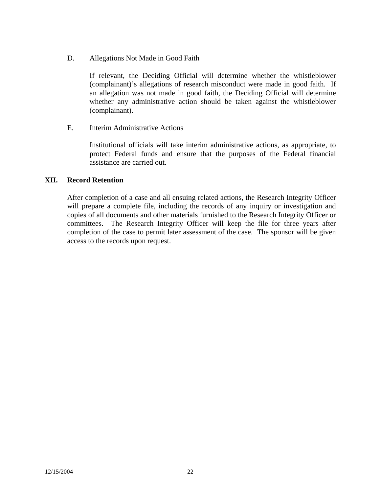D. Allegations Not Made in Good Faith

If relevant, the Deciding Official will determine whether the whistleblower (complainant)'s allegations of research misconduct were made in good faith. If an allegation was not made in good faith, the Deciding Official will determine whether any administrative action should be taken against the whistleblower (complainant).

E. Interim Administrative Actions

Institutional officials will take interim administrative actions, as appropriate, to protect Federal funds and ensure that the purposes of the Federal financial assistance are carried out.

# **XII. Record Retention**

After completion of a case and all ensuing related actions, the Research Integrity Officer will prepare a complete file, including the records of any inquiry or investigation and copies of all documents and other materials furnished to the Research Integrity Officer or committees. The Research Integrity Officer will keep the file for three years after completion of the case to permit later assessment of the case. The sponsor will be given access to the records upon request.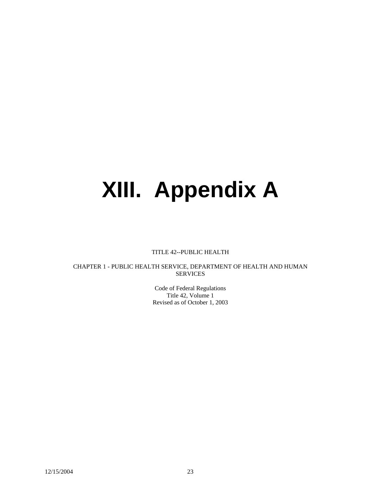# **XIII. Appendix A**

#### TITLE 42--PUBLIC HEALTH

#### CHAPTER 1 - PUBLIC HEALTH SERVICE, DEPARTMENT OF HEALTH AND HUMAN SERVICES

Code of Federal Regulations Title 42, Volume 1 Revised as of October 1, 2003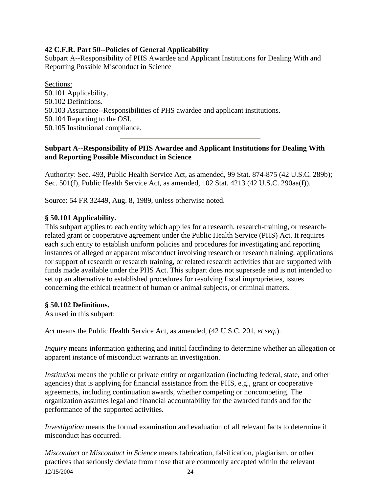# **42 C.F.R. Part 50--Policies of General Applicability**

Subpart A--Responsibility of PHS Awardee and Applicant Institutions for Dealing With and Reporting Possible Misconduct in Science

Sections: 50.101 Applicability. 50.102 Definitions. 50.103 Assurance--Responsibilities of PHS awardee and applicant institutions. 50.104 Reporting to the OSI. 50.105 Institutional compliance.

# **Subpart A--Responsibility of PHS Awardee and Applicant Institutions for Dealing With and Reporting Possible Misconduct in Science**

Authority: Sec. 493, Public Health Service Act, as amended, 99 Stat. 874-875 (42 U.S.C. 289b); Sec. 501(f), Public Health Service Act, as amended, 102 Stat. 4213 (42 U.S.C. 290aa(f)).

Source: 54 FR 32449, Aug. 8, 1989, unless otherwise noted.

# **§ 50.101 Applicability.**

This subpart applies to each entity which applies for a research, research-training, or researchrelated grant or cooperative agreement under the Public Health Service (PHS) Act. It requires each such entity to establish uniform policies and procedures for investigating and reporting instances of alleged or apparent misconduct involving research or research training, applications for support of research or research training, or related research activities that are supported with funds made available under the PHS Act. This subpart does not supersede and is not intended to set up an alternative to established procedures for resolving fiscal improprieties, issues concerning the ethical treatment of human or animal subjects, or criminal matters.

# **§ 50.102 Definitions.**

As used in this subpart:

*Act* means the Public Health Service Act, as amended, (42 U.S.C. 201, *et seq.*).

*Inquiry* means information gathering and initial factfinding to determine whether an allegation or apparent instance of misconduct warrants an investigation.

*Institution* means the public or private entity or organization (including federal, state, and other agencies) that is applying for financial assistance from the PHS, e.g., grant or cooperative agreements, including continuation awards, whether competing or noncompeting. The organization assumes legal and financial accountability for the awarded funds and for the performance of the supported activities.

*Investigation* means the formal examination and evaluation of all relevant facts to determine if misconduct has occurred.

12/15/2004 24 *Misconduct* or *Misconduct in Science* means fabrication, falsification, plagiarism, or other practices that seriously deviate from those that are commonly accepted within the relevant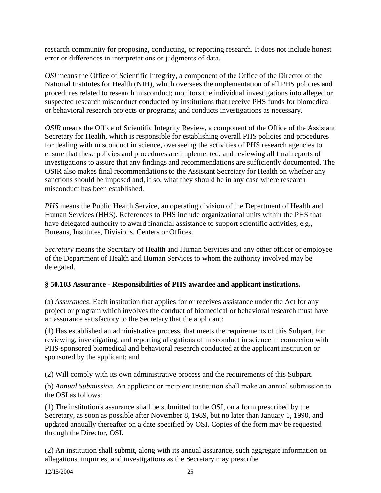research community for proposing, conducting, or reporting research. It does not include honest error or differences in interpretations or judgments of data.

*OSI* means the Office of Scientific Integrity, a component of the Office of the Director of the National Institutes for Health (NIH), which oversees the implementation of all PHS policies and procedures related to research misconduct; monitors the individual investigations into alleged or suspected research misconduct conducted by institutions that receive PHS funds for biomedical or behavioral research projects or programs; and conducts investigations as necessary.

*OSIR* means the Office of Scientific Integrity Review, a component of the Office of the Assistant Secretary for Health, which is responsible for establishing overall PHS policies and procedures for dealing with misconduct in science, overseeing the activities of PHS research agencies to ensure that these policies and procedures are implemented, and reviewing all final reports of investigations to assure that any findings and recommendations are sufficiently documented. The OSIR also makes final recommendations to the Assistant Secretary for Health on whether any sanctions should be imposed and, if so, what they should be in any case where research misconduct has been established.

*PHS* means the Public Health Service, an operating division of the Department of Health and Human Services (HHS). References to PHS include organizational units within the PHS that have delegated authority to award financial assistance to support scientific activities, e.g., Bureaus, Institutes, Divisions, Centers or Offices.

*Secretary* means the Secretary of Health and Human Services and any other officer or employee of the Department of Health and Human Services to whom the authority involved may be delegated.

# **§ 50.103 Assurance - Responsibilities of PHS awardee and applicant institutions.**

(a) *Assurances*. Each institution that applies for or receives assistance under the Act for any project or program which involves the conduct of biomedical or behavioral research must have an assurance satisfactory to the Secretary that the applicant:

(1) Has established an administrative process, that meets the requirements of this Subpart, for reviewing, investigating, and reporting allegations of misconduct in science in connection with PHS-sponsored biomedical and behavioral research conducted at the applicant institution or sponsored by the applicant; and

(2) Will comply with its own administrative process and the requirements of this Subpart.

(b) *Annual Submission*. An applicant or recipient institution shall make an annual submission to the OSI as follows:

(1) The institution's assurance shall be submitted to the OSI, on a form prescribed by the Secretary, as soon as possible after November 8, 1989, but no later than January 1, 1990, and updated annually thereafter on a date specified by OSI. Copies of the form may be requested through the Director, OSI.

(2) An institution shall submit, along with its annual assurance, such aggregate information on allegations, inquiries, and investigations as the Secretary may prescribe.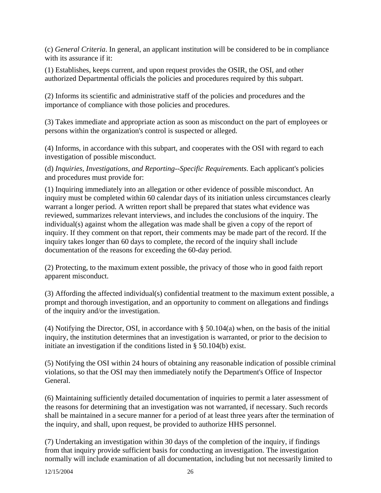(c) *General Criteria*. In general, an applicant institution will be considered to be in compliance with its assurance if it:

(1) Establishes, keeps current, and upon request provides the OSIR, the OSI, and other authorized Departmental officials the policies and procedures required by this subpart.

(2) Informs its scientific and administrative staff of the policies and procedures and the importance of compliance with those policies and procedures.

(3) Takes immediate and appropriate action as soon as misconduct on the part of employees or persons within the organization's control is suspected or alleged.

(4) Informs, in accordance with this subpart, and cooperates with the OSI with regard to each investigation of possible misconduct.

(d) *Inquiries, Investigations, and Reporting--Specific Requirements*. Each applicant's policies and procedures must provide for:

(1) Inquiring immediately into an allegation or other evidence of possible misconduct. An inquiry must be completed within 60 calendar days of its initiation unless circumstances clearly warrant a longer period. A written report shall be prepared that states what evidence was reviewed, summarizes relevant interviews, and includes the conclusions of the inquiry. The individual(s) against whom the allegation was made shall be given a copy of the report of inquiry. If they comment on that report, their comments may be made part of the record. If the inquiry takes longer than 60 days to complete, the record of the inquiry shall include documentation of the reasons for exceeding the 60-day period.

(2) Protecting, to the maximum extent possible, the privacy of those who in good faith report apparent misconduct.

(3) Affording the affected individual(s) confidential treatment to the maximum extent possible, a prompt and thorough investigation, and an opportunity to comment on allegations and findings of the inquiry and/or the investigation.

(4) Notifying the Director, OSI, in accordance with § 50.104(a) when, on the basis of the initial inquiry, the institution determines that an investigation is warranted, or prior to the decision to initiate an investigation if the conditions listed in § 50.104(b) exist.

(5) Notifying the OSI within 24 hours of obtaining any reasonable indication of possible criminal violations, so that the OSI may then immediately notify the Department's Office of Inspector General.

(6) Maintaining sufficiently detailed documentation of inquiries to permit a later assessment of the reasons for determining that an investigation was not warranted, if necessary. Such records shall be maintained in a secure manner for a period of at least three years after the termination of the inquiry, and shall, upon request, be provided to authorize HHS personnel.

(7) Undertaking an investigation within 30 days of the completion of the inquiry, if findings from that inquiry provide sufficient basis for conducting an investigation. The investigation normally will include examination of all documentation, including but not necessarily limited to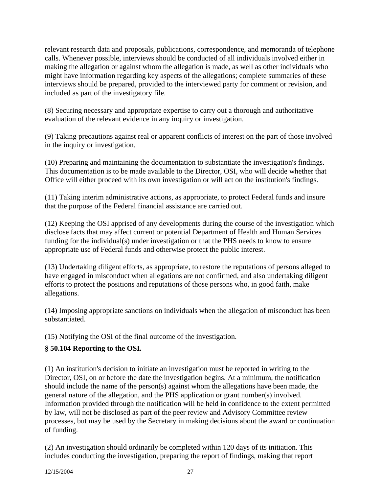relevant research data and proposals, publications, correspondence, and memoranda of telephone calls. Whenever possible, interviews should be conducted of all individuals involved either in making the allegation or against whom the allegation is made, as well as other individuals who might have information regarding key aspects of the allegations; complete summaries of these interviews should be prepared, provided to the interviewed party for comment or revision, and included as part of the investigatory file.

(8) Securing necessary and appropriate expertise to carry out a thorough and authoritative evaluation of the relevant evidence in any inquiry or investigation.

(9) Taking precautions against real or apparent conflicts of interest on the part of those involved in the inquiry or investigation.

(10) Preparing and maintaining the documentation to substantiate the investigation's findings. This documentation is to be made available to the Director, OSI, who will decide whether that Office will either proceed with its own investigation or will act on the institution's findings.

(11) Taking interim administrative actions, as appropriate, to protect Federal funds and insure that the purpose of the Federal financial assistance are carried out.

(12) Keeping the OSI apprised of any developments during the course of the investigation which disclose facts that may affect current or potential Department of Health and Human Services funding for the individual(s) under investigation or that the PHS needs to know to ensure appropriate use of Federal funds and otherwise protect the public interest.

(13) Undertaking diligent efforts, as appropriate, to restore the reputations of persons alleged to have engaged in misconduct when allegations are not confirmed, and also undertaking diligent efforts to protect the positions and reputations of those persons who, in good faith, make allegations.

(14) Imposing appropriate sanctions on individuals when the allegation of misconduct has been substantiated.

(15) Notifying the OSI of the final outcome of the investigation.

# **§ 50.104 Reporting to the OSI.**

(1) An institution's decision to initiate an investigation must be reported in writing to the Director, OSI, on or before the date the investigation begins. At a minimum, the notification should include the name of the person(s) against whom the allegations have been made, the general nature of the allegation, and the PHS application or grant number(s) involved. Information provided through the notification will be held in confidence to the extent permitted by law, will not be disclosed as part of the peer review and Advisory Committee review processes, but may be used by the Secretary in making decisions about the award or continuation of funding.

(2) An investigation should ordinarily be completed within 120 days of its initiation. This includes conducting the investigation, preparing the report of findings, making that report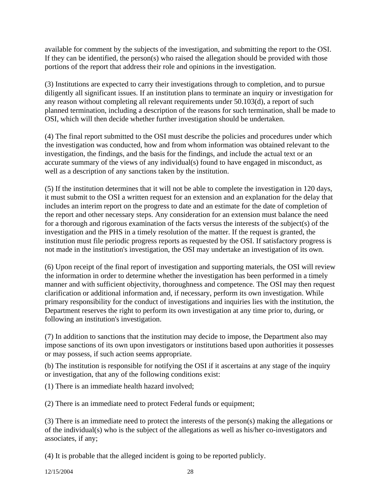available for comment by the subjects of the investigation, and submitting the report to the OSI. If they can be identified, the person(s) who raised the allegation should be provided with those portions of the report that address their role and opinions in the investigation.

(3) Institutions are expected to carry their investigations through to completion, and to pursue diligently all significant issues. If an institution plans to terminate an inquiry or investigation for any reason without completing all relevant requirements under 50.103(d), a report of such planned termination, including a description of the reasons for such termination, shall be made to OSI, which will then decide whether further investigation should be undertaken.

(4) The final report submitted to the OSI must describe the policies and procedures under which the investigation was conducted, how and from whom information was obtained relevant to the investigation, the findings, and the basis for the findings, and include the actual text or an accurate summary of the views of any individual(s) found to have engaged in misconduct, as well as a description of any sanctions taken by the institution.

(5) If the institution determines that it will not be able to complete the investigation in 120 days, it must submit to the OSI a written request for an extension and an explanation for the delay that includes an interim report on the progress to date and an estimate for the date of completion of the report and other necessary steps. Any consideration for an extension must balance the need for a thorough and rigorous examination of the facts versus the interests of the subject(s) of the investigation and the PHS in a timely resolution of the matter. If the request is granted, the institution must file periodic progress reports as requested by the OSI. If satisfactory progress is not made in the institution's investigation, the OSI may undertake an investigation of its own.

(6) Upon receipt of the final report of investigation and supporting materials, the OSI will review the information in order to determine whether the investigation has been performed in a timely manner and with sufficient objectivity, thoroughness and competence. The OSI may then request clarification or additional information and, if necessary, perform its own investigation. While primary responsibility for the conduct of investigations and inquiries lies with the institution, the Department reserves the right to perform its own investigation at any time prior to, during, or following an institution's investigation.

(7) In addition to sanctions that the institution may decide to impose, the Department also may impose sanctions of its own upon investigators or institutions based upon authorities it possesses or may possess, if such action seems appropriate.

(b) The institution is responsible for notifying the OSI if it ascertains at any stage of the inquiry or investigation, that any of the following conditions exist:

(1) There is an immediate health hazard involved;

(2) There is an immediate need to protect Federal funds or equipment;

(3) There is an immediate need to protect the interests of the person(s) making the allegations or of the individual(s) who is the subject of the allegations as well as his/her co-investigators and associates, if any;

(4) It is probable that the alleged incident is going to be reported publicly.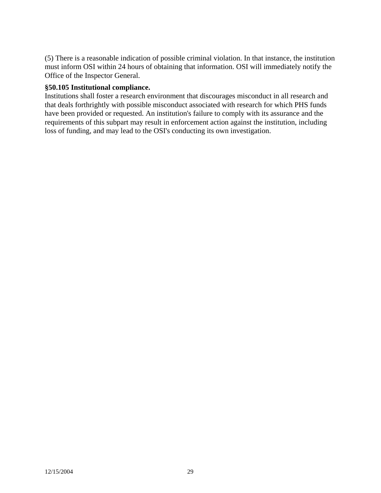(5) There is a reasonable indication of possible criminal violation. In that instance, the institution must inform OSI within 24 hours of obtaining that information. OSI will immediately notify the Office of the Inspector General.

# **§50.105 Institutional compliance.**

Institutions shall foster a research environment that discourages misconduct in all research and that deals forthrightly with possible misconduct associated with research for which PHS funds have been provided or requested. An institution's failure to comply with its assurance and the requirements of this subpart may result in enforcement action against the institution, including loss of funding, and may lead to the OSI's conducting its own investigation.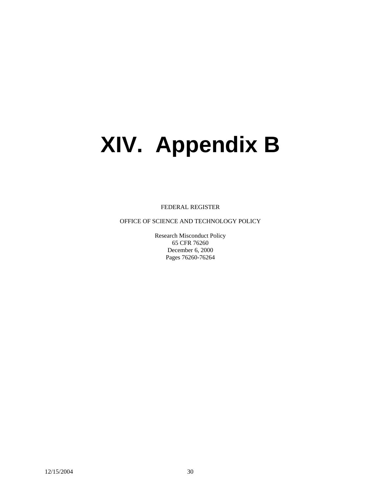# **XIV. Appendix B**

FEDERAL REGISTER

OFFICE OF SCIENCE AND TECHNOLOGY POLICY

Research Misconduct Policy 65 CFR 76260 December 6, 2000 Pages 76260-76264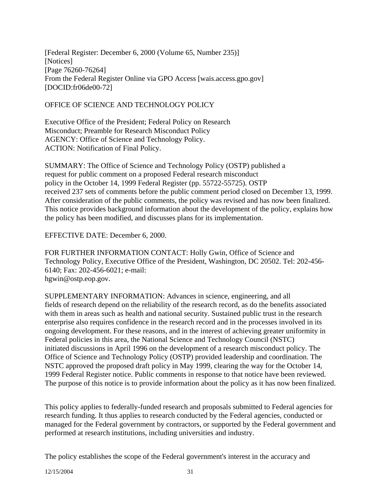[Federal Register: December 6, 2000 (Volume 65, Number 235)] [Notices] [Page 76260-76264] From the Federal Register Online via GPO Access [wais.access.gpo.gov] [DOCID:fr06de00-72]

# OFFICE OF SCIENCE AND TECHNOLOGY POLICY

Executive Office of the President; Federal Policy on Research Misconduct; Preamble for Research Misconduct Policy AGENCY: Office of Science and Technology Policy. ACTION: Notification of Final Policy.

SUMMARY: The Office of Science and Technology Policy (OSTP) published a request for public comment on a proposed Federal research misconduct policy in the October 14, 1999 Federal Register (pp. 55722-55725). OSTP received 237 sets of comments before the public comment period closed on December 13, 1999. After consideration of the public comments, the policy was revised and has now been finalized. This notice provides background information about the development of the policy, explains how the policy has been modified, and discusses plans for its implementation.

# EFFECTIVE DATE: December 6, 2000.

FOR FURTHER INFORMATION CONTACT: Holly Gwin, Office of Science and Technology Policy, Executive Office of the President, Washington, DC 20502. Tel: 202-456- 6140; Fax: 202-456-6021; e-mail: hgwin@ostp.eop.gov.

SUPPLEMENTARY INFORMATION: Advances in science, engineering, and all fields of research depend on the reliability of the research record, as do the benefits associated with them in areas such as health and national security. Sustained public trust in the research enterprise also requires confidence in the research record and in the processes involved in its ongoing development. For these reasons, and in the interest of achieving greater uniformity in Federal policies in this area, the National Science and Technology Council (NSTC) initiated discussions in April 1996 on the development of a research misconduct policy. The Office of Science and Technology Policy (OSTP) provided leadership and coordination. The NSTC approved the proposed draft policy in May 1999, clearing the way for the October 14, 1999 Federal Register notice. Public comments in response to that notice have been reviewed. The purpose of this notice is to provide information about the policy as it has now been finalized.

This policy applies to federally-funded research and proposals submitted to Federal agencies for research funding. It thus applies to research conducted by the Federal agencies, conducted or managed for the Federal government by contractors, or supported by the Federal government and performed at research institutions, including universities and industry.

The policy establishes the scope of the Federal government's interest in the accuracy and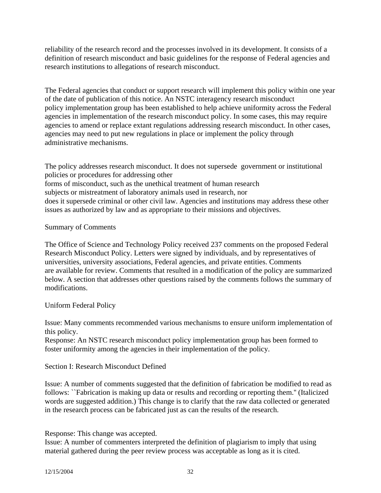reliability of the research record and the processes involved in its development. It consists of a definition of research misconduct and basic guidelines for the response of Federal agencies and research institutions to allegations of research misconduct.

The Federal agencies that conduct or support research will implement this policy within one year of the date of publication of this notice. An NSTC interagency research misconduct policy implementation group has been established to help achieve uniformity across the Federal agencies in implementation of the research misconduct policy. In some cases, this may require agencies to amend or replace extant regulations addressing research misconduct. In other cases, agencies may need to put new regulations in place or implement the policy through administrative mechanisms.

The policy addresses research misconduct. It does not supersede government or institutional policies or procedures for addressing other forms of misconduct, such as the unethical treatment of human research subjects or mistreatment of laboratory animals used in research, nor does it supersede criminal or other civil law. Agencies and institutions may address these other issues as authorized by law and as appropriate to their missions and objectives.

# Summary of Comments

The Office of Science and Technology Policy received 237 comments on the proposed Federal Research Misconduct Policy. Letters were signed by individuals, and by representatives of universities, university associations, Federal agencies, and private entities. Comments are available for review. Comments that resulted in a modification of the policy are summarized below. A section that addresses other questions raised by the comments follows the summary of modifications.

Uniform Federal Policy

Issue: Many comments recommended various mechanisms to ensure uniform implementation of this policy.

Response: An NSTC research misconduct policy implementation group has been formed to foster uniformity among the agencies in their implementation of the policy.

Section I: Research Misconduct Defined

Issue: A number of comments suggested that the definition of fabrication be modified to read as follows: ``Fabrication is making up data or results and recording or reporting them.'' (Italicized words are suggested addition.) This change is to clarify that the raw data collected or generated in the research process can be fabricated just as can the results of the research.

Response: This change was accepted.

Issue: A number of commenters interpreted the definition of plagiarism to imply that using material gathered during the peer review process was acceptable as long as it is cited.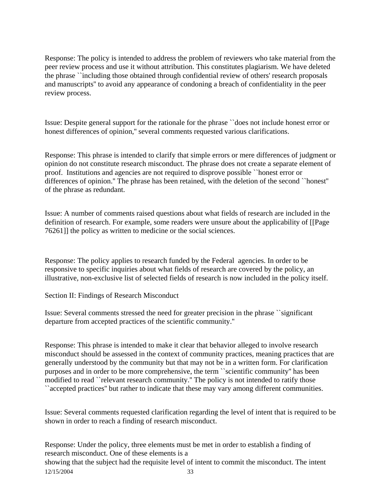Response: The policy is intended to address the problem of reviewers who take material from the peer review process and use it without attribution. This constitutes plagiarism. We have deleted the phrase ``including those obtained through confidential review of others' research proposals and manuscripts'' to avoid any appearance of condoning a breach of confidentiality in the peer review process.

Issue: Despite general support for the rationale for the phrase ``does not include honest error or honest differences of opinion,'' several comments requested various clarifications.

Response: This phrase is intended to clarify that simple errors or mere differences of judgment or opinion do not constitute research misconduct. The phrase does not create a separate element of proof. Institutions and agencies are not required to disprove possible ``honest error or differences of opinion.'' The phrase has been retained, with the deletion of the second ``honest'' of the phrase as redundant.

Issue: A number of comments raised questions about what fields of research are included in the definition of research. For example, some readers were unsure about the applicability of [[Page 76261]] the policy as written to medicine or the social sciences.

Response: The policy applies to research funded by the Federal agencies. In order to be responsive to specific inquiries about what fields of research are covered by the policy, an illustrative, non-exclusive list of selected fields of research is now included in the policy itself.

Section II: Findings of Research Misconduct

Issue: Several comments stressed the need for greater precision in the phrase ``significant departure from accepted practices of the scientific community.''

Response: This phrase is intended to make it clear that behavior alleged to involve research misconduct should be assessed in the context of community practices, meaning practices that are generally understood by the community but that may not be in a written form. For clarification purposes and in order to be more comprehensive, the term ``scientific community'' has been modified to read ``relevant research community.'' The policy is not intended to ratify those ``accepted practices'' but rather to indicate that these may vary among different communities.

Issue: Several comments requested clarification regarding the level of intent that is required to be shown in order to reach a finding of research misconduct.

12/15/2004 33 Response: Under the policy, three elements must be met in order to establish a finding of research misconduct. One of these elements is a showing that the subject had the requisite level of intent to commit the misconduct. The intent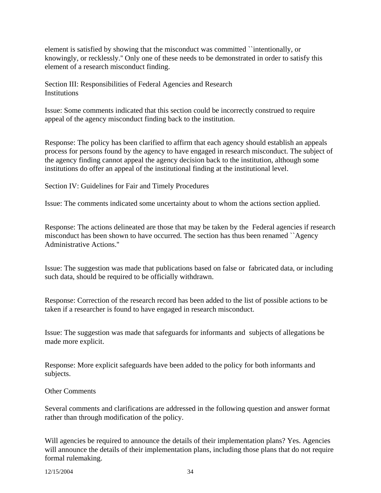element is satisfied by showing that the misconduct was committed ``intentionally, or knowingly, or recklessly.'' Only one of these needs to be demonstrated in order to satisfy this element of a research misconduct finding.

Section III: Responsibilities of Federal Agencies and Research **Institutions** 

Issue: Some comments indicated that this section could be incorrectly construed to require appeal of the agency misconduct finding back to the institution.

Response: The policy has been clarified to affirm that each agency should establish an appeals process for persons found by the agency to have engaged in research misconduct. The subject of the agency finding cannot appeal the agency decision back to the institution, although some institutions do offer an appeal of the institutional finding at the institutional level.

Section IV: Guidelines for Fair and Timely Procedures

Issue: The comments indicated some uncertainty about to whom the actions section applied.

Response: The actions delineated are those that may be taken by the Federal agencies if research misconduct has been shown to have occurred. The section has thus been renamed ``Agency Administrative Actions.''

Issue: The suggestion was made that publications based on false or fabricated data, or including such data, should be required to be officially withdrawn.

Response: Correction of the research record has been added to the list of possible actions to be taken if a researcher is found to have engaged in research misconduct.

Issue: The suggestion was made that safeguards for informants and subjects of allegations be made more explicit.

Response: More explicit safeguards have been added to the policy for both informants and subjects.

# Other Comments

Several comments and clarifications are addressed in the following question and answer format rather than through modification of the policy.

Will agencies be required to announce the details of their implementation plans? Yes. Agencies will announce the details of their implementation plans, including those plans that do not require formal rulemaking.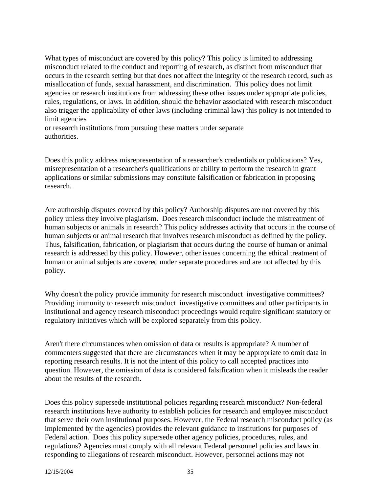What types of misconduct are covered by this policy? This policy is limited to addressing misconduct related to the conduct and reporting of research, as distinct from misconduct that occurs in the research setting but that does not affect the integrity of the research record, such as misallocation of funds, sexual harassment, and discrimination. This policy does not limit agencies or research institutions from addressing these other issues under appropriate policies, rules, regulations, or laws. In addition, should the behavior associated with research misconduct also trigger the applicability of other laws (including criminal law) this policy is not intended to limit agencies

or research institutions from pursuing these matters under separate authorities.

Does this policy address misrepresentation of a researcher's credentials or publications? Yes, misrepresentation of a researcher's qualifications or ability to perform the research in grant applications or similar submissions may constitute falsification or fabrication in proposing research.

Are authorship disputes covered by this policy? Authorship disputes are not covered by this policy unless they involve plagiarism. Does research misconduct include the mistreatment of human subjects or animals in research? This policy addresses activity that occurs in the course of human subjects or animal research that involves research misconduct as defined by the policy. Thus, falsification, fabrication, or plagiarism that occurs during the course of human or animal research is addressed by this policy. However, other issues concerning the ethical treatment of human or animal subjects are covered under separate procedures and are not affected by this policy.

Why doesn't the policy provide immunity for research misconduct investigative committees? Providing immunity to research misconduct investigative committees and other participants in institutional and agency research misconduct proceedings would require significant statutory or regulatory initiatives which will be explored separately from this policy.

Aren't there circumstances when omission of data or results is appropriate? A number of commenters suggested that there are circumstances when it may be appropriate to omit data in reporting research results. It is not the intent of this policy to call accepted practices into question. However, the omission of data is considered falsification when it misleads the reader about the results of the research.

Does this policy supersede institutional policies regarding research misconduct? Non-federal research institutions have authority to establish policies for research and employee misconduct that serve their own institutional purposes. However, the Federal research misconduct policy (as implemented by the agencies) provides the relevant guidance to institutions for purposes of Federal action. Does this policy supersede other agency policies, procedures, rules, and regulations? Agencies must comply with all relevant Federal personnel policies and laws in responding to allegations of research misconduct. However, personnel actions may not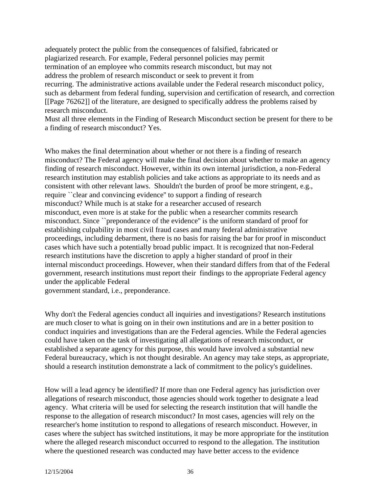adequately protect the public from the consequences of falsified, fabricated or plagiarized research. For example, Federal personnel policies may permit termination of an employee who commits research misconduct, but may not address the problem of research misconduct or seek to prevent it from recurring. The administrative actions available under the Federal research misconduct policy, such as debarment from federal funding, supervision and certification of research, and correction [[Page 76262]] of the literature, are designed to specifically address the problems raised by research misconduct.

Must all three elements in the Finding of Research Misconduct section be present for there to be a finding of research misconduct? Yes.

Who makes the final determination about whether or not there is a finding of research misconduct? The Federal agency will make the final decision about whether to make an agency finding of research misconduct. However, within its own internal jurisdiction, a non-Federal research institution may establish policies and take actions as appropriate to its needs and as consistent with other relevant laws. Shouldn't the burden of proof be more stringent, e.g., require ``clear and convincing evidence'' to support a finding of research misconduct? While much is at stake for a researcher accused of research misconduct, even more is at stake for the public when a researcher commits research misconduct. Since ``preponderance of the evidence'' is the uniform standard of proof for establishing culpability in most civil fraud cases and many federal administrative proceedings, including debarment, there is no basis for raising the bar for proof in misconduct cases which have such a potentially broad public impact. It is recognized that non-Federal research institutions have the discretion to apply a higher standard of proof in their internal misconduct proceedings. However, when their standard differs from that of the Federal government, research institutions must report their findings to the appropriate Federal agency under the applicable Federal

government standard, i.e., preponderance.

Why don't the Federal agencies conduct all inquiries and investigations? Research institutions are much closer to what is going on in their own institutions and are in a better position to conduct inquiries and investigations than are the Federal agencies. While the Federal agencies could have taken on the task of investigating all allegations of research misconduct, or established a separate agency for this purpose, this would have involved a substantial new Federal bureaucracy, which is not thought desirable. An agency may take steps, as appropriate, should a research institution demonstrate a lack of commitment to the policy's guidelines.

How will a lead agency be identified? If more than one Federal agency has jurisdiction over allegations of research misconduct, those agencies should work together to designate a lead agency. What criteria will be used for selecting the research institution that will handle the response to the allegation of research misconduct? In most cases, agencies will rely on the researcher's home institution to respond to allegations of research misconduct. However, in cases where the subject has switched institutions, it may be more appropriate for the institution where the alleged research misconduct occurred to respond to the allegation. The institution where the questioned research was conducted may have better access to the evidence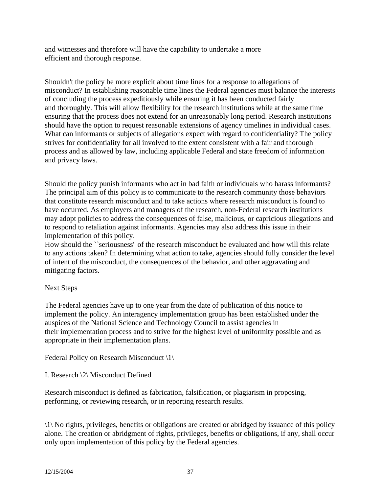and witnesses and therefore will have the capability to undertake a more efficient and thorough response.

Shouldn't the policy be more explicit about time lines for a response to allegations of misconduct? In establishing reasonable time lines the Federal agencies must balance the interests of concluding the process expeditiously while ensuring it has been conducted fairly and thoroughly. This will allow flexibility for the research institutions while at the same time ensuring that the process does not extend for an unreasonably long period. Research institutions should have the option to request reasonable extensions of agency timelines in individual cases. What can informants or subjects of allegations expect with regard to confidentiality? The policy strives for confidentiality for all involved to the extent consistent with a fair and thorough process and as allowed by law, including applicable Federal and state freedom of information and privacy laws.

Should the policy punish informants who act in bad faith or individuals who harass informants? The principal aim of this policy is to communicate to the research community those behaviors that constitute research misconduct and to take actions where research misconduct is found to have occurred. As employers and managers of the research, non-Federal research institutions may adopt policies to address the consequences of false, malicious, or capricious allegations and to respond to retaliation against informants. Agencies may also address this issue in their implementation of this policy.

How should the ``seriousness'' of the research misconduct be evaluated and how will this relate to any actions taken? In determining what action to take, agencies should fully consider the level of intent of the misconduct, the consequences of the behavior, and other aggravating and mitigating factors.

# Next Steps

The Federal agencies have up to one year from the date of publication of this notice to implement the policy. An interagency implementation group has been established under the auspices of the National Science and Technology Council to assist agencies in their implementation process and to strive for the highest level of uniformity possible and as appropriate in their implementation plans.

Federal Policy on Research Misconduct \1\

I. Research \2\ Misconduct Defined

Research misconduct is defined as fabrication, falsification, or plagiarism in proposing, performing, or reviewing research, or in reporting research results.

\1\ No rights, privileges, benefits or obligations are created or abridged by issuance of this policy alone. The creation or abridgment of rights, privileges, benefits or obligations, if any, shall occur only upon implementation of this policy by the Federal agencies.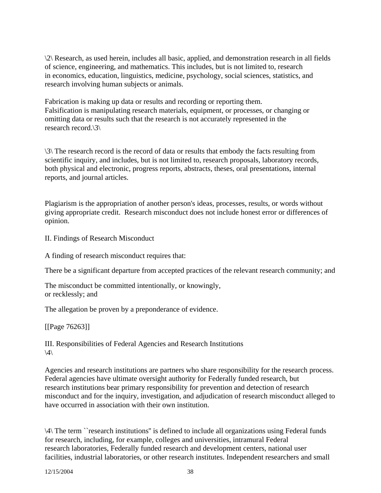\2\ Research, as used herein, includes all basic, applied, and demonstration research in all fields of science, engineering, and mathematics. This includes, but is not limited to, research in economics, education, linguistics, medicine, psychology, social sciences, statistics, and research involving human subjects or animals.

Fabrication is making up data or results and recording or reporting them. Falsification is manipulating research materials, equipment, or processes, or changing or omitting data or results such that the research is not accurately represented in the research record.\3\

\3\ The research record is the record of data or results that embody the facts resulting from scientific inquiry, and includes, but is not limited to, research proposals, laboratory records, both physical and electronic, progress reports, abstracts, theses, oral presentations, internal reports, and journal articles.

Plagiarism is the appropriation of another person's ideas, processes, results, or words without giving appropriate credit. Research misconduct does not include honest error or differences of opinion.

II. Findings of Research Misconduct

A finding of research misconduct requires that:

There be a significant departure from accepted practices of the relevant research community; and

The misconduct be committed intentionally, or knowingly, or recklessly; and

The allegation be proven by a preponderance of evidence.

[[Page 76263]]

III. Responsibilities of Federal Agencies and Research Institutions  $\langle 4 \rangle$ 

Agencies and research institutions are partners who share responsibility for the research process. Federal agencies have ultimate oversight authority for Federally funded research, but research institutions bear primary responsibility for prevention and detection of research misconduct and for the inquiry, investigation, and adjudication of research misconduct alleged to have occurred in association with their own institution.

\4\ The term ``research institutions'' is defined to include all organizations using Federal funds for research, including, for example, colleges and universities, intramural Federal research laboratories, Federally funded research and development centers, national user facilities, industrial laboratories, or other research institutes. Independent researchers and small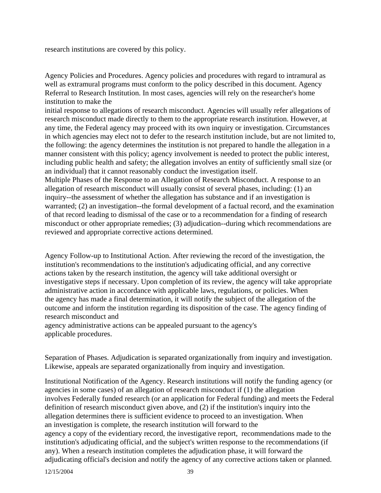research institutions are covered by this policy.

Agency Policies and Procedures. Agency policies and procedures with regard to intramural as well as extramural programs must conform to the policy described in this document. Agency Referral to Research Institution. In most cases, agencies will rely on the researcher's home institution to make the

initial response to allegations of research misconduct. Agencies will usually refer allegations of research misconduct made directly to them to the appropriate research institution. However, at any time, the Federal agency may proceed with its own inquiry or investigation. Circumstances in which agencies may elect not to defer to the research institution include, but are not limited to, the following: the agency determines the institution is not prepared to handle the allegation in a manner consistent with this policy; agency involvement is needed to protect the public interest, including public health and safety; the allegation involves an entity of sufficiently small size (or an individual) that it cannot reasonably conduct the investigation itself.

Multiple Phases of the Response to an Allegation of Research Misconduct. A response to an allegation of research misconduct will usually consist of several phases, including: (1) an inquiry--the assessment of whether the allegation has substance and if an investigation is warranted; (2) an investigation--the formal development of a factual record, and the examination of that record leading to dismissal of the case or to a recommendation for a finding of research misconduct or other appropriate remedies; (3) adjudication--during which recommendations are reviewed and appropriate corrective actions determined.

Agency Follow-up to Institutional Action. After reviewing the record of the investigation, the institution's recommendations to the institution's adjudicating official, and any corrective actions taken by the research institution, the agency will take additional oversight or investigative steps if necessary. Upon completion of its review, the agency will take appropriate administrative action in accordance with applicable laws, regulations, or policies. When the agency has made a final determination, it will notify the subject of the allegation of the outcome and inform the institution regarding its disposition of the case. The agency finding of research misconduct and

agency administrative actions can be appealed pursuant to the agency's applicable procedures.

Separation of Phases. Adjudication is separated organizationally from inquiry and investigation. Likewise, appeals are separated organizationally from inquiry and investigation.

Institutional Notification of the Agency. Research institutions will notify the funding agency (or agencies in some cases) of an allegation of research misconduct if (1) the allegation involves Federally funded research (or an application for Federal funding) and meets the Federal definition of research misconduct given above, and (2) if the institution's inquiry into the allegation determines there is sufficient evidence to proceed to an investigation. When an investigation is complete, the research institution will forward to the agency a copy of the evidentiary record, the investigative report, recommendations made to the institution's adjudicating official, and the subject's written response to the recommendations (if any). When a research institution completes the adjudication phase, it will forward the adjudicating official's decision and notify the agency of any corrective actions taken or planned.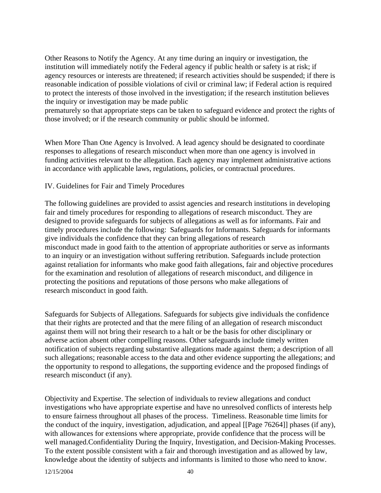Other Reasons to Notify the Agency. At any time during an inquiry or investigation, the institution will immediately notify the Federal agency if public health or safety is at risk; if agency resources or interests are threatened; if research activities should be suspended; if there is reasonable indication of possible violations of civil or criminal law; if Federal action is required to protect the interests of those involved in the investigation; if the research institution believes the inquiry or investigation may be made public

prematurely so that appropriate steps can be taken to safeguard evidence and protect the rights of those involved; or if the research community or public should be informed.

When More Than One Agency is Involved. A lead agency should be designated to coordinate responses to allegations of research misconduct when more than one agency is involved in funding activities relevant to the allegation. Each agency may implement administrative actions in accordance with applicable laws, regulations, policies, or contractual procedures.

# IV. Guidelines for Fair and Timely Procedures

The following guidelines are provided to assist agencies and research institutions in developing fair and timely procedures for responding to allegations of research misconduct. They are designed to provide safeguards for subjects of allegations as well as for informants. Fair and timely procedures include the following: Safeguards for Informants. Safeguards for informants give individuals the confidence that they can bring allegations of research misconduct made in good faith to the attention of appropriate authorities or serve as informants to an inquiry or an investigation without suffering retribution. Safeguards include protection against retaliation for informants who make good faith allegations, fair and objective procedures for the examination and resolution of allegations of research misconduct, and diligence in protecting the positions and reputations of those persons who make allegations of research misconduct in good faith.

Safeguards for Subjects of Allegations. Safeguards for subjects give individuals the confidence that their rights are protected and that the mere filing of an allegation of research misconduct against them will not bring their research to a halt or be the basis for other disciplinary or adverse action absent other compelling reasons. Other safeguards include timely written notification of subjects regarding substantive allegations made against them; a description of all such allegations; reasonable access to the data and other evidence supporting the allegations; and the opportunity to respond to allegations, the supporting evidence and the proposed findings of research misconduct (if any).

Objectivity and Expertise. The selection of individuals to review allegations and conduct investigations who have appropriate expertise and have no unresolved conflicts of interests help to ensure fairness throughout all phases of the process. Timeliness. Reasonable time limits for the conduct of the inquiry, investigation, adjudication, and appeal [[Page 76264]] phases (if any), with allowances for extensions where appropriate, provide confidence that the process will be well managed.Confidentiality During the Inquiry, Investigation, and Decision-Making Processes. To the extent possible consistent with a fair and thorough investigation and as allowed by law, knowledge about the identity of subjects and informants is limited to those who need to know.